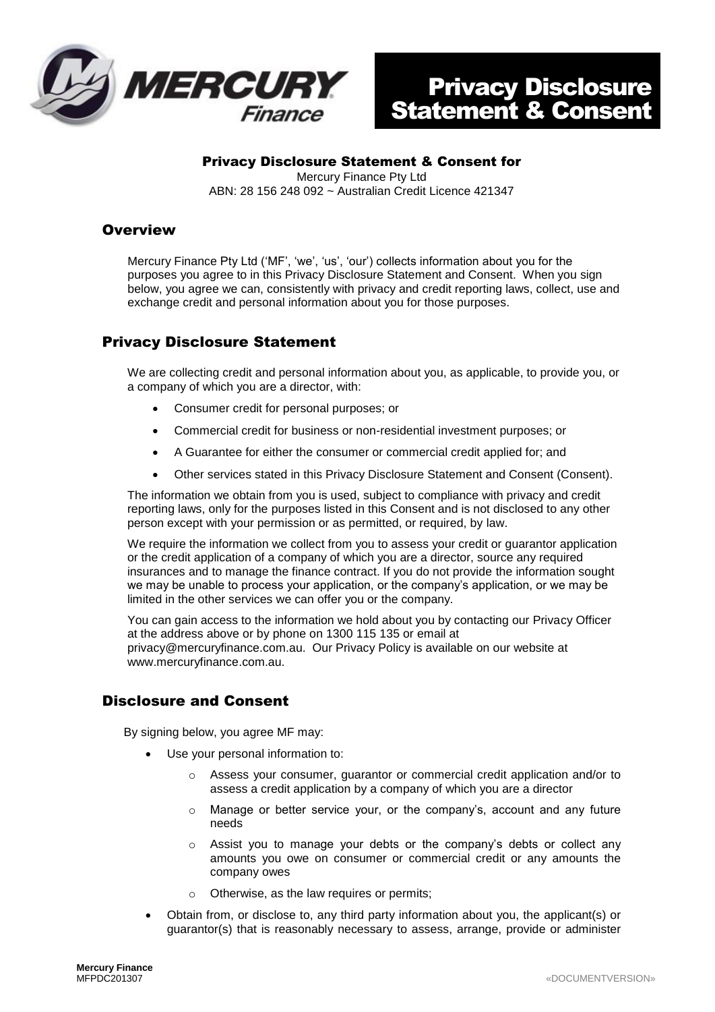

## Privacy Disclosure Statement & Consent for

Mercury Finance Pty Ltd ABN: 28 156 248 092 ~ Australian Credit Licence 421347

## **Overview**

Mercury Finance Pty Ltd ('MF', 'we', 'us', 'our') collects information about you for the purposes you agree to in this Privacy Disclosure Statement and Consent. When you sign below, you agree we can, consistently with privacy and credit reporting laws, collect, use and exchange credit and personal information about you for those purposes.

## Privacy Disclosure Statement

We are collecting credit and personal information about you, as applicable, to provide you, or a company of which you are a director, with:

- Consumer credit for personal purposes; or
- Commercial credit for business or non-residential investment purposes; or
- A Guarantee for either the consumer or commercial credit applied for; and
- Other services stated in this Privacy Disclosure Statement and Consent (Consent).

The information we obtain from you is used, subject to compliance with privacy and credit reporting laws, only for the purposes listed in this Consent and is not disclosed to any other person except with your permission or as permitted, or required, by law.

We require the information we collect from you to assess your credit or guarantor application or the credit application of a company of which you are a director, source any required insurances and to manage the finance contract. If you do not provide the information sought we may be unable to process your application, or the company's application, or we may be limited in the other services we can offer you or the company.

You can gain access to the information we hold about you by contacting our Privacy Officer at the address above or by phone on 1300 115 135 or email at privacy@mercuryfinance.com.au. Our Privacy Policy is available on our website at www.mercuryfinance.com.au.

## Disclosure and Consent

By signing below, you agree MF may:

- Use your personal information to:
	- o Assess your consumer, guarantor or commercial credit application and/or to assess a credit application by a company of which you are a director
	- $\circ$  Manage or better service your, or the company's, account and any future needs
	- $\circ$  Assist you to manage your debts or the company's debts or collect any amounts you owe on consumer or commercial credit or any amounts the company owes
	- o Otherwise, as the law requires or permits;
- Obtain from, or disclose to, any third party information about you, the applicant(s) or guarantor(s) that is reasonably necessary to assess, arrange, provide or administer